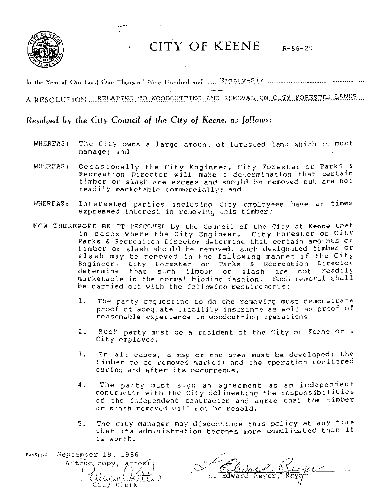

CITY OF KEENE R-86-29

In tt.e Year of Our Lord One Thousand Nine Hund«J and " .... J;;jgJ,.\;y:::!?j~ ......................................................... ..

A RESOLUTION .... RELATING TO WOODCUTTING AND REMOVAL ON CITY FORESTED LANDS

## *Resolved by the City Council of the City of Keene. as follows:*

- WHEREAS: The City owns a large amount of forested land which it must manage; and
- WHEREAS: Occasionally the City Engineer, City Forester or Parks  $\&$ Recreation Director will make a determination that certain timber or slash are eXCess and should be removed but are not readily marketable commercially; and
- WHEREAS: Interested parties including City employees have at times expressed interest in removing this timber;
- NOW THEREFORE BE IT RESOLVED by the Council of the City of Keene that in cases where the City Engineer, City Forester or city Parks & Recreation Director determine that certain amounts of timber or slash should be removed, such designated timber or slash may be removed in the following manner if the City Engineer, City Forester or Parks & Recreation Director determine that such timber or slash are not readily<br>marketable in the normal bidding fashion. Such removal shall marketable in the normal bidding fashion. be carried out with the following requirements:
	- 1. The party requesting to do the removing must demonstrate proof of adequate liability insurance as well as proof of reasonable experience in woodcutting operations.
	- 2. Such party must be a resident of the City of Keene or a City employee.
	- 3. In all cases, a map of the area must be developed; the timber to be removed marked; and the operation monitored during and after its occurrence.
	- 4. The party must sign an agreement as an independent contractor with the City delineating the responsibilities of the independent contractor and agree that the timber or slash removed will not be resold.
	- 5. The City Manager may discontinue this policy at any time that its administration becomes more complicated than it is worth.

September 18, 1986 PASSED. A true copy; attest; atucicletiti City Clerk

Edward Respon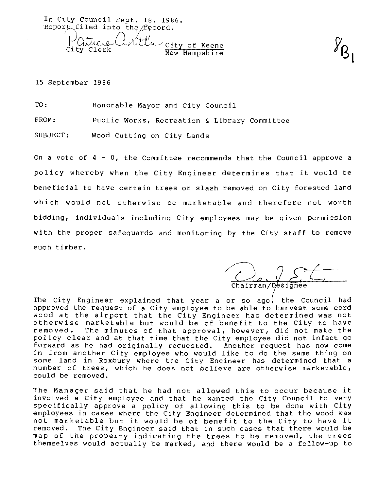In City Council Sept. 18, 1986. Report filed into the  $/$ Pecord. | UUUCUL CAMULU City of Keene New Hampshire

15 September 1986

TO: Honorable Mayor and City Council

FROM: Public Works, Recreation & Library Committee

SUBJECT: Wood Cutting on City Lands

On a vote of  $4 - 0$ , the Committee recommends that the Council approve a policy whereby when the City Engineer determines that it would be beneficial to have certain trees or slash removed on City forested land which would not otherwise be marketable and therefore not worth bidding, individuals including City employees may be given permission with the proper safeguards and monitoring by the City staff to remove such timber.

Chairman/Designee

The City Engineer explained that year a or so ago $\prime$  the Council had approved the request of a City employee to be able to harvest some cord wood at the airport that the City Engineer had determined was not otherwise marketable but would be of benefit to the City to have<br>removed. The minutes of that approval, however, did not make the The minutes of that approval, however, did not make the policy clear and at that time that the City employee did not in fact go forward as he had originally requested. Another request has now come in from another City employee who would like to do the same thing on some land in Roxbury where the City Engineer has determined that a number of trees, which he does not believe are otherwise marketable, could be removed.

The Manager said that he had not allowed this to occur because it involved a City employee and that he wanted the City Council to very specifically approve a policy of allowing this to be done with City employees in cases where the City Engineer determined that the wood was not marketable but it would be of benefit to the City to have it removed. The City Engineer said that in such cases that there would be map of the property indicating the trees to be removed, the trees themselves would actually be marked, and there would be a follow-up to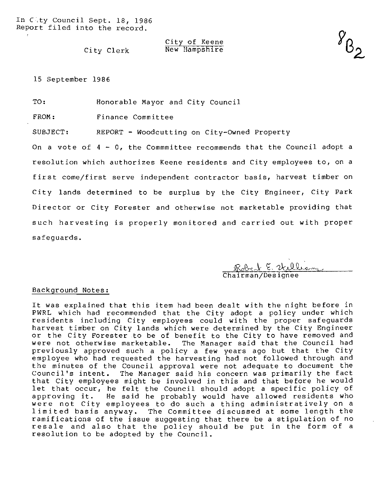## City of Keene New Hampshire

City Clerk

15 September 1986

TO: Honorable Mayor and City Council

FROM: Finance Committee

SUBJECT: REPORT - Woodcutting on City-Owned Property

On a vote of  $4 - 0$ , the Commmittee recommends that the Council adopt a resolution which authorizes Keene residents and City employees to, on a first come/first serve independent contractor basis, harvest timber on City lands determined to be surplus by the City Engineer, City Park Director or City Forester and otherwise not marketable providing that such harvesting is properly monitored and carried out with proper safeguards.

Robert E. Williams

## Background Notes:

It was explained that this item had been dealt with the night before in PWRL which had recommended that the City adopt a policy under which residents including City employees could with the proper safeguards harvest timber on City lands which were determined by the City Engineer or the City Forester to be of benefit to the City to have removed and were not otherwise marketable. The Manager said that the Council had previously approved such a policy a few years ago but that the City employee who had requested the harvesting had not followed through and the minutes of the Council approval were not adequate to document the Council's intent. The Manager said his concern was primarily the fact that City employees might be involved in this and that before he would let that occur, he felt the Council should adopt a specific policy of<br>approving it. He said he probably would have allowed residents who He said he probably would have allowed residents who were not City employees to do such a thing administratively on a limited basis anyway. The Committee discussed at some length the ramifications of the issue suggesting that there be a stipulation of no resale and also that the policy should be put in the form of a resolution to be adopted by the Council.